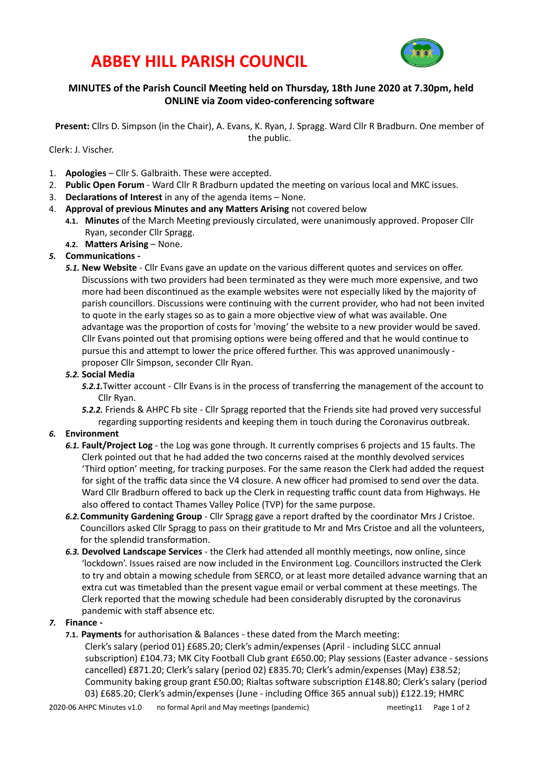# **ABBEY HILL PARISH COUNCIL**



# **MINUTES** of the Parish Council Meeting held on Thursday, 18th June 2020 at 7.30pm, held **ONLINE** via Zoom video-conferencing software

**Present:** Cllrs D. Simpson (in the Chair), A. Evans, K. Ryan, J. Spragg. Ward Cllr R Bradburn. One member of the public.

Clerk: J. Vischer.

- 1. **Apologies** Cllr S. Galbraith. These were accepted.
- 2. **Public Open Forum** Ward Cllr R Bradburn updated the meeting on various local and MKC issues.
- 3. **Declarations of Interest** in any of the agenda items None.
- 4. **Approval of previous Minutes and any Matters Arising** not covered below
	- 4.1. Minutes of the March Meeting previously circulated, were unanimously approved. Proposer Cllr Ryan, seconder Cllr Spragg.
	- **4.2. Matters Arising None.**

### 5. **Communications** -

**5.1. New Website** - Cllr Evans gave an update on the various different quotes and services on offer. Discussions with two providers had been terminated as they were much more expensive, and two more had been discontinued as the example websites were not especially liked by the majority of parish councillors. Discussions were continuing with the current provider, who had not been invited to quote in the early stages so as to gain a more objective view of what was available. One advantage was the proportion of costs for 'moving' the website to a new provider would be saved. Cllr Evans pointed out that promising options were being offered and that he would continue to pursue this and attempt to lower the price offered further. This was approved unanimously proposer Cllr Simpson, seconder Cllr Ryan.

### *5.2.* **Social Media**

- 5.2.1.Twitter account Cllr Evans is in the process of transferring the management of the account to Cllr Ryan.
- **5.2.2.** Friends & AHPC Fb site Cllr Spragg reported that the Friends site had proved very successful regarding supporting residents and keeping them in touch during the Coronavirus outbreak.

### *6.* **Environment**

- 6.1. **Fault/Project Log** the Log was gone through. It currently comprises 6 projects and 15 faults. The Clerk pointed out that he had added the two concerns raised at the monthly devolved services 'Third option' meeting, for tracking purposes. For the same reason the Clerk had added the request for sight of the traffic data since the V4 closure. A new officer had promised to send over the data. Ward Cllr Bradburn offered to back up the Clerk in requesting traffic count data from Highways. He also offered to contact Thames Valley Police (TVP) for the same purpose.
- 6.2. Community Gardening Group Cllr Spragg gave a report drafted by the coordinator Mrs J Cristoe. Councillors asked Cllr Spragg to pass on their gratitude to Mr and Mrs Cristoe and all the volunteers, for the splendid transformation.
- 6.3. Devolved Landscape Services the Clerk had attended all monthly meetings, now online, since 'lockdown'. Issues raised are now included in the Environment Log. Councillors instructed the Clerk to try and obtain a mowing schedule from SERCO, or at least more detailed advance warning that an extra cut was timetabled than the present vague email or verbal comment at these meetings. The Clerk reported that the mowing schedule had been considerably disrupted by the coronavirus pandemic with staff absence etc.

### **7. Finance** -

**7.1. Payments** for authorisation & Balances - these dated from the March meeting: Clerk's salary (period 01) £685.20; Clerk's admin/expenses (April - including SLCC annual subscription) £104.73; MK City Football Club grant £650.00; Play sessions (Easter advance - sessions cancelled) £871.20; Clerk's salary (period 02) £835.70; Clerk's admin/expenses (May) £38.52; Community baking group grant £50.00; Rialtas software subscription £148.80; Clerk's salary (period 03) £685.20; Clerk's admin/expenses (June - including Office 365 annual sub)) £122.19; HMRC

2020-06 AHPC Minutes v1.0 on formal April and May meetings (pandemic) entity are meeting 11 Page 1 of 2